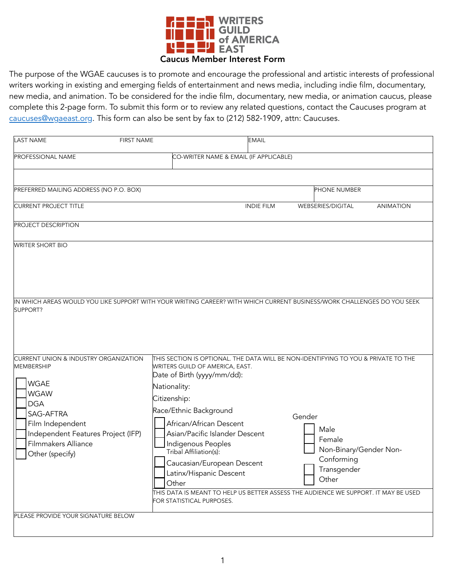

 The purpose of the WGAE caucuses is to promote and encourage the professional and artistic interests of professional writers working in existing and emerging fields of entertainment and news media, including indie film, documentary, new media, and animation. To be considered for the indie film, documentary, new media, or animation caucus, please complete this 2-page form. To submit this form or to review any related questions, contact the Caucuses program at caucuses@wgaeast.org. This form can also be sent by fax to (212) 582-1909, attn: Caucuses.

| <b>LAST NAME</b><br><b>FIRST NAME</b>                                                                                                                                                                        |                                                                                                                                                                                                                                                                                                                                                             | <b>EMAIL</b>      |                                                                                          |                  |  |
|--------------------------------------------------------------------------------------------------------------------------------------------------------------------------------------------------------------|-------------------------------------------------------------------------------------------------------------------------------------------------------------------------------------------------------------------------------------------------------------------------------------------------------------------------------------------------------------|-------------------|------------------------------------------------------------------------------------------|------------------|--|
| PROFESSIONAL NAME<br>CO-WRITER NAME & EMAIL (IF APPLICABLE)                                                                                                                                                  |                                                                                                                                                                                                                                                                                                                                                             |                   |                                                                                          |                  |  |
|                                                                                                                                                                                                              |                                                                                                                                                                                                                                                                                                                                                             |                   |                                                                                          |                  |  |
| PREFERRED MAILING ADDRESS (NO P.O. BOX)                                                                                                                                                                      |                                                                                                                                                                                                                                                                                                                                                             |                   | PHONE NUMBER                                                                             |                  |  |
| <b>CURRENT PROJECT TITLE</b>                                                                                                                                                                                 |                                                                                                                                                                                                                                                                                                                                                             | <b>INDIE FILM</b> | WEBSERIES/DIGITAL                                                                        | <b>ANIMATION</b> |  |
| PROJECT DESCRIPTION                                                                                                                                                                                          |                                                                                                                                                                                                                                                                                                                                                             |                   |                                                                                          |                  |  |
| <b>WRITER SHORT BIO</b>                                                                                                                                                                                      |                                                                                                                                                                                                                                                                                                                                                             |                   |                                                                                          |                  |  |
| IN WHICH AREAS WOULD YOU LIKE SUPPORT WITH YOUR WRITING CAREER? WITH WHICH CURRENT BUSINESS/WORK CHALLENGES DO YOU SEEK<br>SUPPORT?<br><b>CURRENT UNION &amp; INDUSTRY ORGANIZATION</b><br><b>MEMBERSHIP</b> | THIS SECTION IS OPTIONAL. THE DATA WILL BE NON-IDENTIFYING TO YOU & PRIVATE TO THE<br>WRITERS GUILD OF AMERICA, EAST.                                                                                                                                                                                                                                       |                   |                                                                                          |                  |  |
| <b>WGAE</b><br><b>WGAW</b><br><b>DGA</b><br>SAG-AFTRA<br>Film Independent<br>Independent Features Project (IFP)<br>Filmmakers Alliance<br>Other (specify)                                                    | Date of Birth (yyyy/mm/dd):<br>Nationality:<br>Citizenship:<br>Race/Ethnic Background<br>African/African Descent<br>Asian/Pacific Islander Descent<br>Indigenous Peoples<br>Tribal Affiliation(s):<br>Caucasian/European Descent<br>Latinx/Hispanic Descent<br>Other<br>THIS DATA IS MEANT TO HELP US BETTER ASSESS THE AUDIENCE WE SUPPORT. IT MAY BE USED |                   | Gender<br>Male<br>Female<br>Non-Binary/Gender Non-<br>Conforming<br>Transgender<br>Other |                  |  |
| PLEASE PROVIDE YOUR SIGNATURE BELOW                                                                                                                                                                          | FOR STATISTICAL PURPOSES.                                                                                                                                                                                                                                                                                                                                   |                   |                                                                                          |                  |  |
|                                                                                                                                                                                                              |                                                                                                                                                                                                                                                                                                                                                             |                   |                                                                                          |                  |  |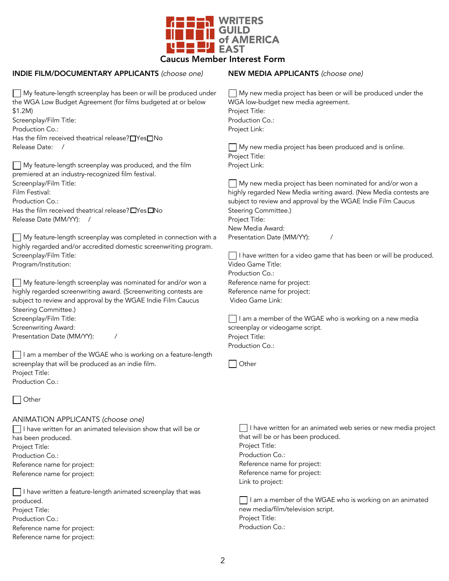

## INDIE FILM/DOCUMENTARY APPLICANTS *(choose one)*

My feature-length screenplay has been or will be produced under the WGA Low Budget Agreement (for films budgeted at or below \$1.2M) Screenplay/Film Title: Production Co.: Has the film received theatrical release? $\Box$ Yes $\Box$ No

Release Date: /

My feature-length screenplay was produced, and the film premiered at an industry-recognized film festival. Screenplay/Film Title: Film Festival: Production Co.: Has the film received theatrical release?  $\Box$  Yes  $\Box$  No Release Date (MM/YY): /

My feature-length screenplay was completed in connection with a highly regarded and/or accredited domestic screenwriting program. Screenplay/Film Title: Program/Institution:

My feature-length screenplay was nominated for and/or won a highly regarded screenwriting award. (Screenwriting contests are subject to review and approval by the WGAE Indie Film Caucus Steering Committee.) Screenplay/Film Title: Screenwriting Award: Presentation Date (MM/YY): /

I am a member of the WGAE who is working on a feature-length screenplay that will be produced as an indie film. Project Title: Production Co.:

Other

## ANIMATION APPLICANTS *(choose one)*

 $\Box$  I have written for an animated television show that will be or has been produced. Project Title: Production Co.: Reference name for project: Reference name for project:

 $\Box$  I have written a feature-length animated screenplay that was produced. Project Title: Production Co.: Reference name for project: Reference name for project:

## NEW MEDIA APPLICANTS *(choose one)*

 $\Box$  My new media project has been or will be produced under the WGA low-budget new media agreement. Project Title: Production Co.: Project Link:

My new media project has been produced and is online. Project Title: Project Link:

My new media project has been nominated for and/or won a highly regarded New Media writing award. (New Media contests are subject to review and approval by the WGAE Indie Film Caucus Steering Committee.) Project Title: New Media Award: Presentation Date (MM/YY): /

 $\Box$  I have written for a video game that has been or will be produced. Video Game Title: Production Co.: Reference name for project: Reference name for project: Video Game Link:

 $\Box$  I am a member of the WGAE who is working on a new media screenplay or videogame script. Project Title: Production Co.:

□ Other

 $\Box$  I have written for an animated web series or new media project that will be or has been produced. Project Title: Production Co.: Reference name for project: Reference name for project: Link to project:

 $\Box$  I am a member of the WGAE who is working on an animated new media/film/television script. Project Title: Production Co.: